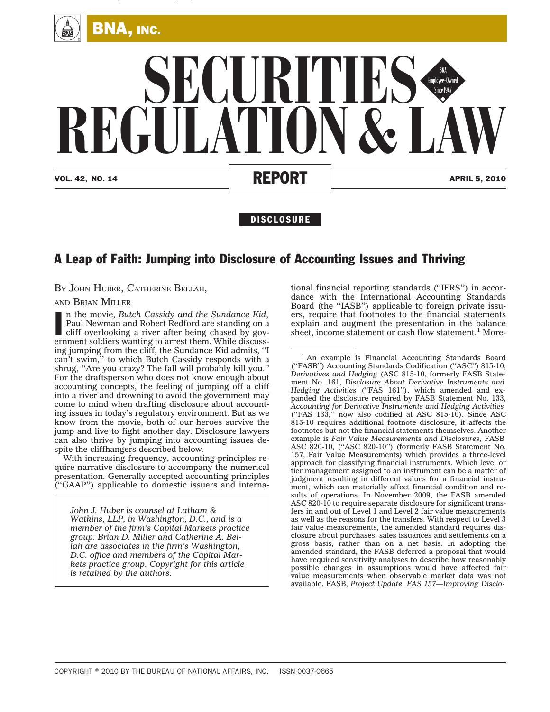

## VOL. 42, NO. 14 **REPORT** APRIL 5, 2010 **SECURITIES REGULATION & LAW** BNA<br>Employee-Owned<br>Since 1947

## **DISCLOSURE**

## A Leap of Faith: Jumping into Disclosure of Accounting Issues and Thriving

BY JOHN HUBER, CATHERINE BELLAH,

AND BRIAN MILLER

In the movie, Butch Cassidy and the Sundance Kid, Paul Newman and Robert Redford are standing on a cliff overlooking a river after being chased by government soldiers wanting to arrest them. While discussn the movie, *Butch Cassidy and the Sundance Kid*, Paul Newman and Robert Redford are standing on a cliff overlooking a river after being chased by goving jumping from the cliff, the Sundance Kid admits, ''I can't swim,'' to which Butch Cassidy responds with a shrug, ''Are you crazy? The fall will probably kill you.'' For the draftsperson who does not know enough about accounting concepts, the feeling of jumping off a cliff into a river and drowning to avoid the government may come to mind when drafting disclosure about accounting issues in today's regulatory environment. But as we know from the movie, both of our heroes survive the jump and live to fight another day. Disclosure lawyers can also thrive by jumping into accounting issues despite the cliffhangers described below.

With increasing frequency, accounting principles require narrative disclosure to accompany the numerical presentation. Generally accepted accounting principles (''GAAP'') applicable to domestic issuers and interna-

*John J. Huber is counsel at Latham & Watkins, LLP, in Washington, D.C., and is a member of the firm's Capital Markets practice group. Brian D. Miller and Catherine A. Bellah are associates in the firm's Washington, D.C. office and members of the Capital Markets practice group. Copyright for this article is retained by the authors.*

tional financial reporting standards (''IFRS'') in accordance with the International Accounting Standards Board (the ''IASB'') applicable to foreign private issuers, require that footnotes to the financial statements explain and augment the presentation in the balance sheet, income statement or cash flow statement.<sup>1</sup> More-

<sup>1</sup> An example is Financial Accounting Standards Board (''FASB'') Accounting Standards Codification (''ASC'') 815-10, *Derivatives and Hedging* (ASC 815-10, formerly FASB Statement No. 161, *Disclosure About Derivative Instruments and Hedging Activities* (''FAS 161''), which amended and expanded the disclosure required by FASB Statement No. 133, *Accounting for Derivative Instruments and Hedging Activities* (''FAS 133,'' now also codified at ASC 815-10). Since ASC 815-10 requires additional footnote disclosure, it affects the footnotes but not the financial statements themselves. Another example is *Fair Value Measurements and Disclosures*, FASB ASC 820-10, (''ASC 820-10'') (formerly FASB Statement No. 157, Fair Value Measurements) which provides a three-level approach for classifying financial instruments. Which level or tier management assigned to an instrument can be a matter of judgment resulting in different values for a financial instrument, which can materially affect financial condition and results of operations. In November 2009, the FASB amended ASC 820-10 to require separate disclosure for significant transfers in and out of Level 1 and Level 2 fair value measurements as well as the reasons for the transfers. With respect to Level 3 fair value measurements, the amended standard requires disclosure about purchases, sales issuances and settlements on a gross basis, rather than on a net basis. In adopting the amended standard, the FASB deferred a proposal that would have required sensitivity analyses to describe how reasonably possible changes in assumptions would have affected fair value measurements when observable market data was not available. FASB, *Project Update, FAS 157—Improving Disclo-*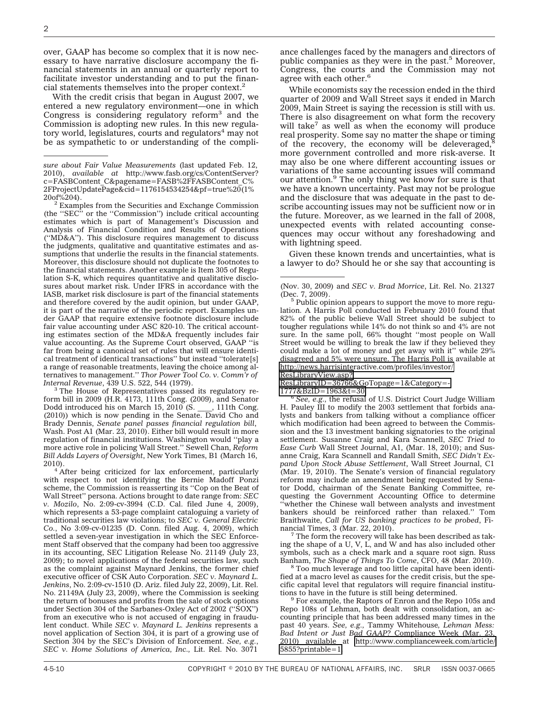over, GAAP has become so complex that it is now necessary to have narrative disclosure accompany the financial statements in an annual or quarterly report to facilitate investor understanding and to put the financial statements themselves into the proper context.2

With the credit crisis that began in August 2007, we entered a new regulatory environment—one in which Congress is considering regulatory reform $3$  and the Commission is adopting new rules. In this new regulatory world, legislatures, courts and regulators $4 \text{ may not}$ be as sympathetic to or understanding of the compli-

 $^{20}$ of%204).<br> $^{2}$  Examples from the Securities and Exchange Commission (the ''SEC'' or the ''Commission'') include critical accounting estimates which is part of Management's Discussion and Analysis of Financial Condition and Results of Operations (''MD&A''). This disclosure requires management to discuss the judgments, qualitative and quantitative estimates and assumptions that underlie the results in the financial statements. Moreover, this disclosure should not duplicate the footnotes to the financial statements. Another example is Item 305 of Regulation S-K, which requires quantitative and qualitative disclosures about market risk. Under IFRS in accordance with the IASB, market risk disclosure is part of the financial statements and therefore covered by the audit opinion, but under GAAP, it is part of the narrative of the periodic report. Examples under GAAP that require extensive footnote disclosure include fair value accounting under ASC 820-10. The critical accounting estimates section of the MD&A frequently includes fair value accounting. As the Supreme Court observed, GAAP ''is far from being a canonical set of rules that will ensure identical treatment of identical transactions'' but instead ''tolerate[s] a range of reasonable treatments, leaving the choice among alternatives to management.'' *Thor Power Tool Co. v. Comm'r of*

*Internal Revenue*, 439 U.S. 522, 544 (1979).<br><sup>3</sup> The House of Representatives passed its regulatory reform bill in 2009 (H.R. 4173, 111th Cong. (2009), and Senator Dodd introduced his on March 15, 2010 (S. \_\_\_, 111th Cong. (2010)) which is now pending in the Senate. David Cho and Brady Dennis, *Senate panel passes financial regulation bill*, Wash. Post A1 (Mar. 23, 2010). Either bill would result in more regulation of financial institutions. Washington would ''play a more active role in policing Wall Street.'' Sewell Chan, *Reform Bill Adds Layers of Oversight*, New York Times, B1 (March 16,

2010). <sup>4</sup> After being criticized for lax enforcement, particularly with respect to not identifying the Bernie Madoff Ponzi scheme, the Commission is reasserting its ''Cop on the Beat of Wall Street'' persona. Actions brought to date range from: *SEC v. Mozilo*, No. 2:09-cv-3994 (C.D. Cal. filed June 4, 2009), which represents a 53-page complaint cataloguing a variety of traditional securities law violations; to *SEC v. General Electric Co.*, No 3:09-cv-01235 (D. Conn. filed Aug. 4, 2009), which settled a seven-year investigation in which the SEC Enforcement Staff observed that the company had been too aggressive in its accounting, SEC Litigation Release No. 21149 (July 23, 2009); to novel applications of the federal securities law, such as the complaint against Maynard Jenkins, the former chief executive officer of CSK Auto Corporation. *SEC v. Maynard L. Jenkins*, No. 2:09-cv-1510 (D. Ariz. filed July 22, 2009), Lit. Rel. No. 21149A (July 23, 2009), where the Commission is seeking the return of bonuses and profits from the sale of stock options under Section 304 of the Sarbanes-Oxley Act of 2002 (''SOX'') from an executive who is not accused of engaging in fraudulent conduct. While *SEC v. Maynard L. Jenkins* represents a novel application of Section 304, it is part of a growing use of Section 304 by the SEC's Division of Enforcement. *See, e.g.*, *SEC v. Home Solutions of America, Inc.,* Lit. Rel. No. 3071

ance challenges faced by the managers and directors of public companies as they were in the past.<sup>5</sup> Moreover, Congress, the courts and the Commission may not agree with each other.<sup>6</sup>

While economists say the recession ended in the third quarter of 2009 and Wall Street says it ended in March 2009, Main Street is saying the recession is still with us. There is also disagreement on what form the recovery will take<sup>7</sup> as well as when the economy will produce real prosperity. Some say no matter the shape or timing of the recovery, the economy will be deleveraged, $\delta$ more government controlled and more risk-averse. It may also be one where different accounting issues or variations of the same accounting issues will command our attention.<sup>9</sup> The only thing we know for sure is that we have a known uncertainty. Past may not be prologue and the disclosure that was adequate in the past to describe accounting issues may not be sufficient now or in the future. Moreover, as we learned in the fall of 2008, unexpected events with related accounting consequences may occur without any foreshadowing and with lightning speed.

Given these known trends and uncertainties, what is a lawyer to do? Should he or she say that accounting is

<sup>6</sup> See, e.g., the refusal of U.S. District Court Judge William H. Pauley III to modify the 2003 settlement that forbids analysts and bankers from talking without a compliance officer which modification had been agreed to between the Commission and the 13 investment banking signatories to the original settlement. Susanne Craig and Kara Scannell, *SEC Tried to Ease Curb* Wall Street Journal, A1, (Mar. 18, 2010); and Susanne Craig, Kara Scannell and Randall Smith, *SEC Didn't Expand Upon Stock Abuse Settlement*, Wall Street Journal, C1 (Mar. 19, 2010). The Senate's version of financial regulatory reform may include an amendment being requested by Senator Dodd, chairman of the Senate Banking Committee, requesting the Government Accounting Office to determine ''whether the Chinese wall between analysts and investment bankers should be reinforced rather than relaxed.'' Tom Braithwaite, *Call for US banking practices to be probed*, Fi-

 $7$  The form the recovery will take has been described as taking the shape of a U, V, L, and W and has also included other symbols, such as a check mark and a square root sign. Russ Banham, The Shape of Things To Come, CFO, 48 (Mar. 2010).

<sup>8</sup> Too much leverage and too little capital have been identified at a macro level as causes for the credit crisis, but the specific capital level that regulators will require financial institu-

 $9$  For example, the Raptors of Enron and the Repo 105s and Repo 108s of Lehman, both dealt with consolidation, an accounting principle that has been addressed many times in the past 40 years. *See, e.g.,* Tammy Whitehouse*, Lehman Mess: Bad Intent or Just Bad GAAP?* Compliance Week (Mar. 23, 2010) available at [http://www.complianceweek.com/article/](http://www.complianceweek.com/article/5855?printable=1) [5855?printable=1.](http://www.complianceweek.com/article/5855?printable=1)

*sure about Fair Value Measurements* (last updated Feb. 12, 2010), *available at* http://www.fasb.org/cs/ContentServer? c=FASBContent\_C&pagename=FASB%2FFASBContent\_C%  $2FProjectUpdatePage&cid=1176154534254&pf=true%20(1%200f%204).$ 

<sup>(</sup>Nov. 30, 2009) and *SEC v. Brad Morrice*, Lit. Rel. No. 21327

 $5$  Public opinion appears to support the move to more regulation. A Harris Poll conducted in February 2010 found that 82% of the public believe Wall Street should be subject to tougher regulations while 14% do not think so and 4% are not sure. In the same poll, 66% thought ''most people on Wall Street would be willing to break the law if they believed they could make a lot of money and get away with it'' while 29% disagreed and 5% were unsure. The Harris Poll is available at [http://news.harrisinteractive.com/profiles/investor/](http://news.harrisinteractive.com/profiles/investor/ResLibraryView.asp?ResLibraryID=36766&GoTopage=1&Category=1777&BzID=1963&t=30) [ResLibraryView.asp?](http://news.harrisinteractive.com/profiles/investor/ResLibraryView.asp?ResLibraryID=36766&GoTopage=1&Category=1777&BzID=1963&t=30)

[ResLibraryID=36766&GoTopage=1&Category=-](http://news.harrisinteractive.com/profiles/investor/ResLibraryView.asp?ResLibraryID=36766&GoTopage=1&Category=1777&BzID=1963&t=30)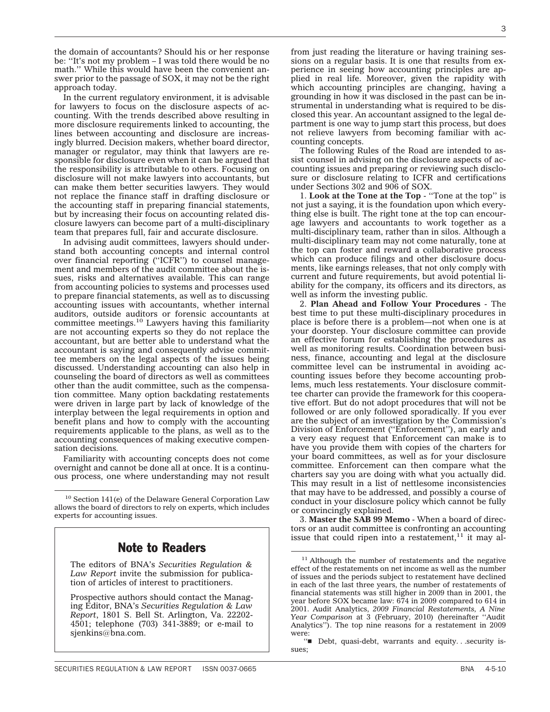the domain of accountants? Should his or her response be: ''It's not my problem – I was told there would be no math.'' While this would have been the convenient answer prior to the passage of SOX, it may not be the right approach today.

In the current regulatory environment, it is advisable for lawyers to focus on the disclosure aspects of accounting. With the trends described above resulting in more disclosure requirements linked to accounting, the lines between accounting and disclosure are increasingly blurred. Decision makers, whether board director, manager or regulator, may think that lawyers are responsible for disclosure even when it can be argued that the responsibility is attributable to others. Focusing on disclosure will not make lawyers into accountants, but can make them better securities lawyers. They would not replace the finance staff in drafting disclosure or the accounting staff in preparing financial statements, but by increasing their focus on accounting related disclosure lawyers can become part of a multi-disciplinary team that prepares full, fair and accurate disclosure.

In advising audit committees, lawyers should understand both accounting concepts and internal control over financial reporting (''ICFR'') to counsel management and members of the audit committee about the issues, risks and alternatives available. This can range from accounting policies to systems and processes used to prepare financial statements, as well as to discussing accounting issues with accountants, whether internal auditors, outside auditors or forensic accountants at committee meetings.<sup>10</sup> Lawyers having this familiarity are not accounting experts so they do not replace the accountant, but are better able to understand what the accountant is saying and consequently advise committee members on the legal aspects of the issues being discussed. Understanding accounting can also help in counseling the board of directors as well as committees other than the audit committee, such as the compensation committee. Many option backdating restatements were driven in large part by lack of knowledge of the interplay between the legal requirements in option and benefit plans and how to comply with the accounting requirements applicable to the plans, as well as to the accounting consequences of making executive compensation decisions*.*

Familiarity with accounting concepts does not come overnight and cannot be done all at once. It is a continuous process, one where understanding may not result

## Note to Readers

The editors of BNA's *Securities Regulation & Law Report* invite the submission for publication of articles of interest to practitioners.

Prospective authors should contact the Managing Editor, BNA's *Securities Regulation & Law Report*, 1801 S. Bell St. Arlington, Va. 22202- 4501; telephone (703) 341-3889; or e-mail to sjenkins@bna.com.

from just reading the literature or having training sessions on a regular basis. It is one that results from experience in seeing how accounting principles are applied in real life. Moreover, given the rapidity with which accounting principles are changing, having a grounding in how it was disclosed in the past can be instrumental in understanding what is required to be disclosed this year. An accountant assigned to the legal department is one way to jump start this process, but does not relieve lawyers from becoming familiar with accounting concepts.

The following Rules of the Road are intended to assist counsel in advising on the disclosure aspects of accounting issues and preparing or reviewing such disclosure or disclosure relating to ICFR and certifications under Sections 302 and 906 of SOX.

1. **Look at the Tone at the Top** - ''Tone at the top'' is not just a saying, it is the foundation upon which everything else is built. The right tone at the top can encourage lawyers and accountants to work together as a multi-disciplinary team, rather than in silos. Although a multi-disciplinary team may not come naturally, tone at the top can foster and reward a collaborative process which can produce filings and other disclosure documents, like earnings releases, that not only comply with current and future requirements, but avoid potential liability for the company, its officers and its directors, as well as inform the investing public.

2. **Plan Ahead and Follow Your Procedures** - The best time to put these multi-disciplinary procedures in place is before there is a problem—not when one is at your doorstep. Your disclosure committee can provide an effective forum for establishing the procedures as well as monitoring results. Coordination between business, finance, accounting and legal at the disclosure committee level can be instrumental in avoiding accounting issues before they become accounting problems, much less restatements. Your disclosure committee charter can provide the framework for this cooperative effort. But do not adopt procedures that will not be followed or are only followed sporadically. If you ever are the subject of an investigation by the Commission's Division of Enforcement (''Enforcement''), an early and a very easy request that Enforcement can make is to have you provide them with copies of the charters for your board committees, as well as for your disclosure committee. Enforcement can then compare what the charters say you are doing with what you actually did. This may result in a list of nettlesome inconsistencies that may have to be addressed, and possibly a course of conduct in your disclosure policy which cannot be fully or convincingly explained.

3. **Master the SAB 99 Memo** - When a board of directors or an audit committee is confronting an accounting issue that could ripen into a restatement, $11$  it may al-

<sup>&</sup>lt;sup>10</sup> Section 141(e) of the Delaware General Corporation Law allows the board of directors to rely on experts, which includes experts for accounting issues.

<sup>&</sup>lt;sup>11</sup> Although the number of restatements and the negative effect of the restatements on net income as well as the number of issues and the periods subject to restatement have declined in each of the last three years, the number of restatements of financial statements was still higher in 2009 than in 2001, the year before SOX became law: 674 in 2009 compared to 614 in 2001. Audit Analytics, *2009 Financial Restatements, A Nine Year Comparison* at 3 (February, 2010) (hereinafter ''Audit Analytics''). The top nine reasons for a restatement in 2009 were:

<sup>&</sup>quot;Debt, quasi-debt, warrants and equity...security issues;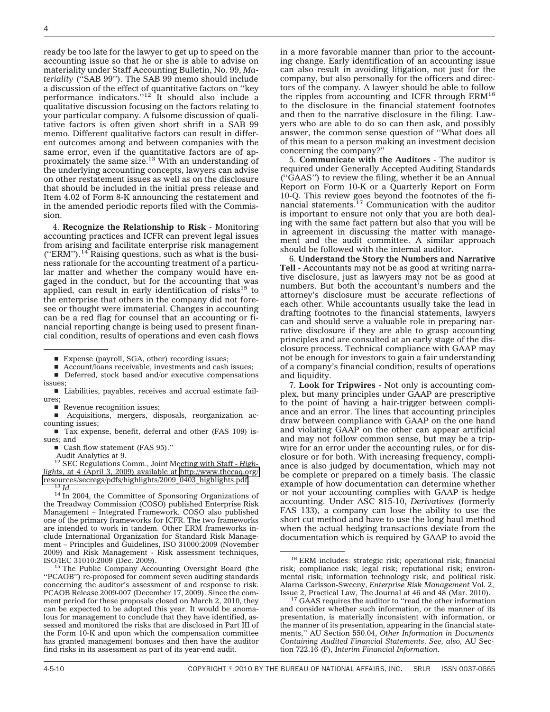ready be too late for the lawyer to get up to speed on the accounting issue so that he or she is able to advise on materiality under Staff Accounting Bulletin, No. 99, *Materiality* (''SAB 99''). The SAB 99 memo should include a discussion of the effect of quantitative factors on ''key performance indicators."<sup>12</sup> It should also include a qualitative discussion focusing on the factors relating to your particular company. A fulsome discussion of qualitative factors is often given short shrift in a SAB 99 memo. Different qualitative factors can result in different outcomes among and between companies with the same error, even if the quantitative factors are of approximately the same size.<sup>13</sup> With an understanding of the underlying accounting concepts, lawyers can advise on other restatement issues as well as on the disclosure that should be included in the initial press release and Item 4.02 of Form 8-K announcing the restatement and in the amended periodic reports filed with the Commission.

4. **Recognize the Relationship to Risk** - Monitoring accounting practices and ICFR can prevent legal issues from arising and facilitate enterprise risk management  $("ERM")$ .<sup>14</sup> Raising questions, such as what is the business rationale for the accounting treatment of a particular matter and whether the company would have engaged in the conduct, but for the accounting that was applied, can result in early identification of risks<sup>15</sup> to the enterprise that others in the company did not foresee or thought were immaterial. Changes in accounting can be a red flag for counsel that an accounting or financial reporting change is being used to present financial condition, results of operations and even cash flows

- Deferred, stock based and/or executive compensations issues;
- $\blacksquare$  Liabilities, payables, receives and accrual estimate failures;
- Revenue recognition issues;

s Acquisitions, mergers, disposals, reorganization accounting issues;

- Tax expense, benefit, deferral and other (FAS 109) issues; and
	- Cash flow statement (FAS 95)."

Audit Analytics at 9. <sup>12</sup> SEC Regulations Comm., Joint Meeting with Staff - *Highlights*, at 4 (April 3, 2009) available at [http://www.thecaq.org/](http://www.thecaq.org/resources/secregs/pdfs/highlights/2009_0403_highlights.pdf) [resources/secregs/pdfs/highlights/2009\\_0403\\_highlights.pdf.](http://www.thecaq.org/resources/secregs/pdfs/highlights/2009_0403_highlights.pdf) <sup>13</sup> *Id.* <sup>14</sup> In 2004, the Committee of Sponsoring Organizations of

the Treadway Commission (COSO) published Enterprise Risk Management – Integrated Framework. COSO also published one of the primary frameworks for ICFR. The two frameworks are intended to work in tandem. Other ERM frameworks include International Organization for Standard Risk Management – Principles and Guidelines, ISO 31000:2009 (November 2009) and Risk Management - Risk assessment techniques,

 $15$  The Public Company Accounting Oversight Board (the ''PCAOB'') re-proposed for comment seven auditing standards concerning the auditor's assessment of and response to risk. PCAOB Release 2009-007 (December 17, 2009). Since the comment period for these proposals closed on March 2, 2010, they can be expected to be adopted this year. It would be anomalous for management to conclude that they have identified, assessed and monitored the risks that are disclosed in Part III of the Form 10-K and upon which the compensation committee has granted management bonuses and then have the auditor find risks in its assessment as part of its year-end audit.

in a more favorable manner than prior to the accounting change. Early identification of an accounting issue can also result in avoiding litigation, not just for the company, but also personally for the officers and directors of the company. A lawyer should be able to follow the ripples from accounting and ICFR through ERM<sup>16</sup> to the disclosure in the financial statement footnotes and then to the narrative disclosure in the filing. Lawyers who are able to do so can then ask, and possibly answer, the common sense question of ''What does all of this mean to a person making an investment decision concerning the company?''

5. **Communicate with the Auditors** - The auditor is required under Generally Accepted Auditing Standards (''GAAS'') to review the filing, whether it be an Annual Report on Form 10-K or a Quarterly Report on Form 10-Q. This review goes beyond the footnotes of the fi-nancial statements.17 Communication with the auditor is important to ensure not only that you are both dealing with the same fact pattern but also that you will be in agreement in discussing the matter with management and the audit committee. A similar approach should be followed with the internal auditor.

6. **Understand the Story the Numbers and Narrative Tell** - Accountants may not be as good at writing narrative disclosure, just as lawyers may not be as good at numbers. But both the accountant's numbers and the attorney's disclosure must be accurate reflections of each other. While accountants usually take the lead in drafting footnotes to the financial statements, lawyers can and should serve a valuable role in preparing narrative disclosure if they are able to grasp accounting principles and are consulted at an early stage of the disclosure process. Technical compliance with GAAP may not be enough for investors to gain a fair understanding of a company's financial condition, results of operations and liquidity.

7. **Look for Tripwires** - Not only is accounting complex, but many principles under GAAP are prescriptive to the point of having a hair-trigger between compliance and an error. The lines that accounting principles draw between compliance with GAAP on the one hand and violating GAAP on the other can appear artificial and may not follow common sense, but may be a tripwire for an error under the accounting rules, or for disclosure or for both. With increasing frequency, compliance is also judged by documentation, which may not be complete or prepared on a timely basis. The classic example of how documentation can determine whether or not your accounting complies with GAAP is hedge accounting. Under ASC 815-10, *Derivatives* (formerly FAS 133)*,* a company can lose the ability to use the short cut method and have to use the long haul method when the actual hedging transactions deviate from the documentation which is required by GAAP to avoid the

 $\blacksquare$  Expense (payroll, SGA, other) recording issues;

<sup>■</sup> Account/loans receivable, investments and cash issues;

<sup>16</sup> ERM includes: strategic risk; operational risk; financial risk; compliance risk; legal risk; reputational risk; environmental risk; information technology risk; and political risk. Alarna Carlsson-Sweeny, *Enterprise Risk Management* Vol. 2,

<sup>&</sup>lt;sup>17</sup> GAAS requires the auditor to "read the other information and consider whether such information, or the manner of its presentation, is materially inconsistent with information, or the manner of its presentation, appearing in the financial statements,'' AU Section 550.04, *Other Information in Documents Containing Audited Financial Statements*. *See, also,* AU Section 722.16 (F), *Interim Financial Information*.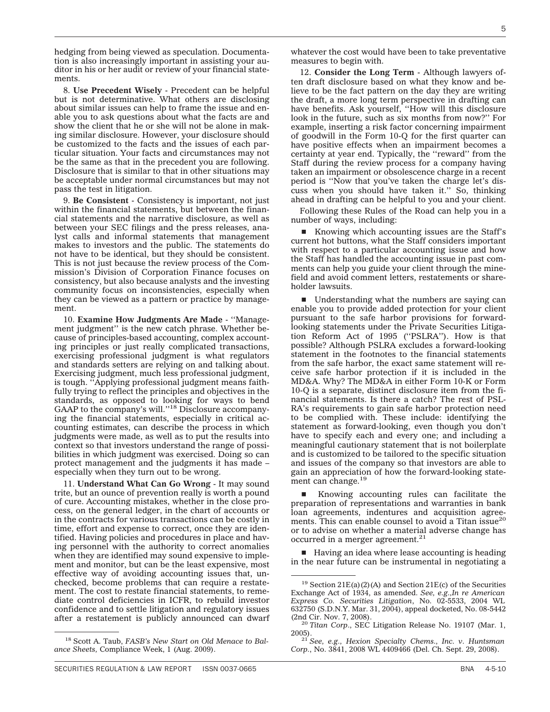hedging from being viewed as speculation. Documentation is also increasingly important in assisting your auditor in his or her audit or review of your financial statements.

8. **Use Precedent Wisely** - Precedent can be helpful but is not determinative. What others are disclosing about similar issues can help to frame the issue and enable you to ask questions about what the facts are and show the client that he or she will not be alone in making similar disclosure. However, your disclosure should be customized to the facts and the issues of each particular situation. Your facts and circumstances may not be the same as that in the precedent you are following. Disclosure that is similar to that in other situations may be acceptable under normal circumstances but may not pass the test in litigation.

9. **Be Consistent** - Consistency is important, not just within the financial statements, but between the financial statements and the narrative disclosure, as well as between your SEC filings and the press releases, analyst calls and informal statements that management makes to investors and the public. The statements do not have to be identical, but they should be consistent. This is not just because the review process of the Commission's Division of Corporation Finance focuses on consistency, but also because analysts and the investing community focus on inconsistencies, especially when they can be viewed as a pattern or practice by management.

10. **Examine How Judgments Are Made** - ''Management judgment'' is the new catch phrase. Whether because of principles-based accounting, complex accounting principles or just really complicated transactions, exercising professional judgment is what regulators and standards setters are relying on and talking about. Exercising judgment, much less professional judgment, is tough. ''Applying professional judgment means faithfully trying to reflect the principles and objectives in the standards, as opposed to looking for ways to bend GAAP to the company's will."<sup>18</sup> Disclosure accompanying the financial statements, especially in critical accounting estimates, can describe the process in which judgments were made, as well as to put the results into context so that investors understand the range of possibilities in which judgment was exercised. Doing so can protect management and the judgments it has made – especially when they turn out to be wrong.

11. **Understand What Can Go Wrong** - It may sound trite, but an ounce of prevention really is worth a pound of cure. Accounting mistakes, whether in the close process, on the general ledger, in the chart of accounts or in the contracts for various transactions can be costly in time, effort and expense to correct, once they are identified. Having policies and procedures in place and having personnel with the authority to correct anomalies when they are identified may sound expensive to implement and monitor, but can be the least expensive, most effective way of avoiding accounting issues that, unchecked, become problems that can require a restatement. The cost to restate financial statements, to remediate control deficiencies in ICFR, to rebuild investor confidence and to settle litigation and regulatory issues after a restatement is publicly announced can dwarf

whatever the cost would have been to take preventative measures to begin with.

12. **Consider the Long Term** - Although lawyers often draft disclosure based on what they know and believe to be the fact pattern on the day they are writing the draft, a more long term perspective in drafting can have benefits. Ask yourself, ''How will this disclosure look in the future, such as six months from now?'' For example, inserting a risk factor concerning impairment of goodwill in the Form 10-Q for the first quarter can have positive effects when an impairment becomes a certainty at year end. Typically, the ''reward'' from the Staff during the review process for a company having taken an impairment or obsolescence charge in a recent period is ''Now that you've taken the charge let's discuss when you should have taken it.'' So, thinking ahead in drafting can be helpful to you and your client.

Following these Rules of the Road can help you in a number of ways, including:

■ Knowing which accounting issues are the Staff's current hot buttons, what the Staff considers important with respect to a particular accounting issue and how the Staff has handled the accounting issue in past comments can help you guide your client through the minefield and avoid comment letters, restatements or shareholder lawsuits.

 $\blacksquare$  Understanding what the numbers are saying can enable you to provide added protection for your client pursuant to the safe harbor provisions for forwardlooking statements under the Private Securities Litigation Reform Act of 1995 (''PSLRA''). How is that possible? Although PSLRA excludes a forward-looking statement in the footnotes to the financial statements from the safe harbor, the exact same statement will receive safe harbor protection if it is included in the MD&A. Why? The MD&A in either Form 10-K or Form 10-Q is a separate, distinct disclosure item from the financial statements. Is there a catch? The rest of PSL-RA's requirements to gain safe harbor protection need to be complied with. These include: identifying the statement as forward-looking, even though you don't have to specify each and every one; and including a meaningful cautionary statement that is not boilerplate and is customized to be tailored to the specific situation and issues of the company so that investors are able to gain an appreciation of how the forward-looking statement can change.<sup>19</sup>

Knowing accounting rules can facilitate the preparation of representations and warranties in bank loan agreements, indentures and acquisition agreements. This can enable counsel to avoid a Titan issue<sup>20</sup> or to advise on whether a material adverse change has occurred in a merger agreement.<sup>21</sup>

 $\blacksquare$  Having an idea where lease accounting is heading in the near future can be instrumental in negotiating a

<sup>18</sup> Scott A. Taub, *FASB's New Start on Old Menace to Balance Sheets,* Compliance Week, 1 (Aug. 2009).

<sup>&</sup>lt;sup>19</sup> Section 21E(a)(2)(A) and Section 21E(c) of the Securities Exchange Act of 1934, as amended. *See, e.g.,In re American Express Co. Securities Litigation*, No. 02-5533, 2004 WL 632750 (S.D.N.Y. Mar. 31, 2004), appeal docketed, No. 08-5442

<sup>&</sup>lt;sup>20</sup> Titan Corp., SEC Litigation Release No. 19107 (Mar. 1,

<sup>2005).</sup> <sup>21</sup> *See, e.g., Hexion Specialty Chems., Inc. v. Huntsman Corp.*, No. 3841, 2008 WL 4409466 (Del. Ch. Sept. 29, 2008).